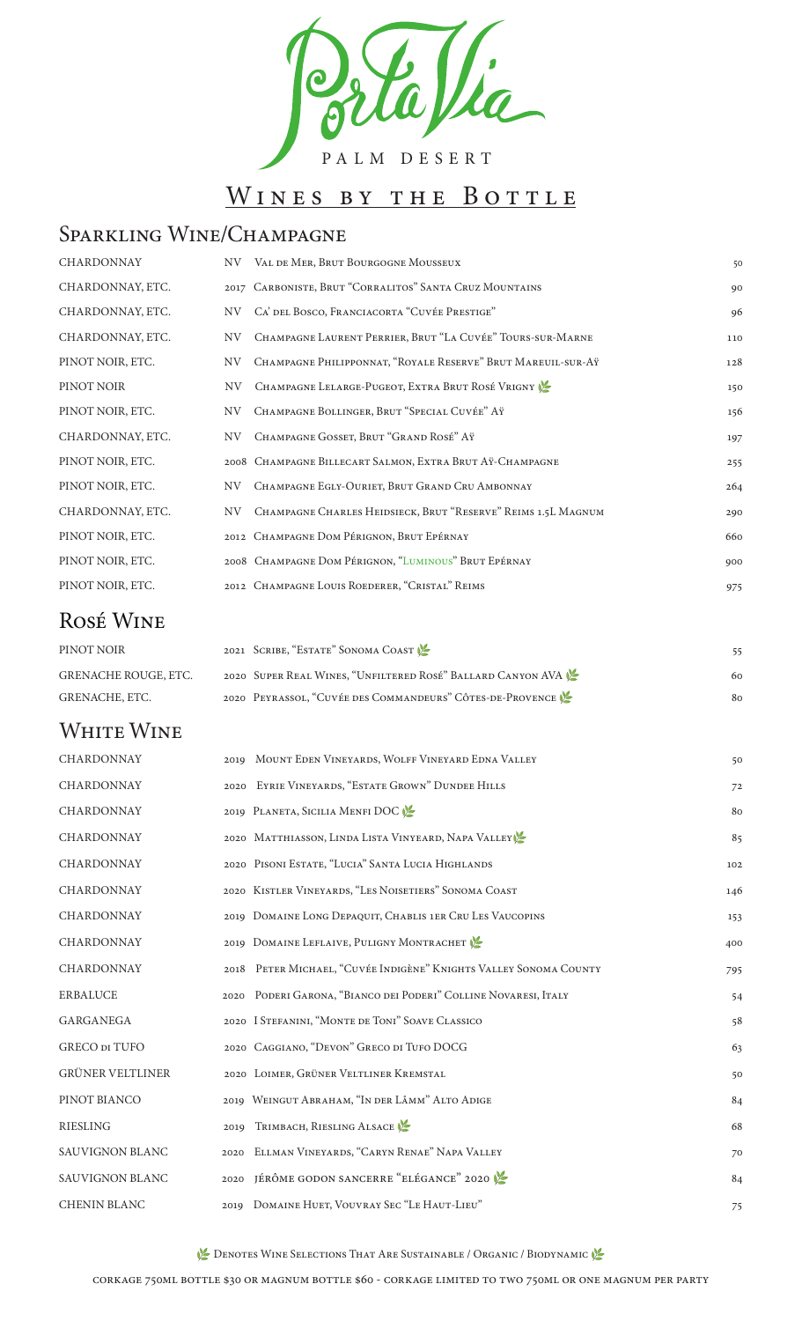

# WINES BY THE BOTTLE

## Sparkling Wine/Champagne

| <b>CHARDONNAY</b> |     | NV VAL DE MER, BRUT BOURGOGNE MOUSSEUX                        | 50  |
|-------------------|-----|---------------------------------------------------------------|-----|
| CHARDONNAY, ETC.  |     | 2017 CARBONISTE, BRUT "CORRALITOS" SANTA CRUZ MOUNTAINS       | 90  |
| CHARDONNAY, ETC.  | NV. | CA' DEL BOSCO, FRANCIACORTA "CUVÉE PRESTIGE"                  | 96  |
| CHARDONNAY, ETC.  | NV  | CHAMPAGNE LAURENT PERRIER, BRUT "LA CUVÉE" TOURS-SUR-MARNE    | 110 |
| PINOT NOIR, ETC.  | NV  | CHAMPAGNE PHILIPPONNAT, "ROYALE RESERVE" BRUT MAREUIL-SUR-AŸ  | 128 |
| PINOT NOIR        | NV. | CHAMPAGNE LELARGE-PUGEOT, EXTRA BRUT ROSÉ VRIGNY              | 150 |
| PINOT NOIR, ETC.  | NV  | CHAMPAGNE BOLLINGER, BRUT "SPECIAL CUVÉE" AŸ                  | 156 |
| CHARDONNAY, ETC.  | NV  | CHAMPAGNE GOSSET, BRUT "GRAND ROSÉ" AŸ                        | 197 |
| PINOT NOIR, ETC.  |     | 2008 CHAMPAGNE BILLECART SALMON, EXTRA BRUT AŸ-CHAMPAGNE      | 255 |
| PINOT NOIR, ETC.  | NV  | CHAMPAGNE EGLY-OURIET, BRUT GRAND CRU AMBONNAY                | 264 |
| CHARDONNAY, ETC.  | NV  | CHAMPAGNE CHARLES HEIDSIECK, BRUT "RESERVE" REIMS 1.5L MAGNUM | 290 |
| PINOT NOIR, ETC.  |     | 2012 CHAMPAGNE DOM PÉRIGNON, BRUT EPÉRNAY                     | 660 |
| PINOT NOIR, ETC.  |     | 2008 CHAMPAGNE DOM PÉRIGNON, "LUMINOUS" BRUT EPÉRNAY          | 900 |
| PINOT NOIR, ETC.  |     | 2012 CHAMPAGNE LOUIS ROEDERER, "CRISTAL" REIMS                | 975 |

#### Rosé Wine

PINOT NOIR 2021 SCRIBE, "ESTATE" SONOMA COAST **1** 255 GRENACHE ROUGE, ETC. 2020 SUPER REAL WINES, "UNFILTERED ROSÉ" BALLARD CANYON AVA 16 60 GRENACHE, ETC. 2020 PEYRASSOL, "CUVÉE DES COMMANDEURS" CÔTES-DE-PROVENCE

#### WHITE WINE

Denotes Wine Selections That Are Sustainable / Organic / Biodynamic